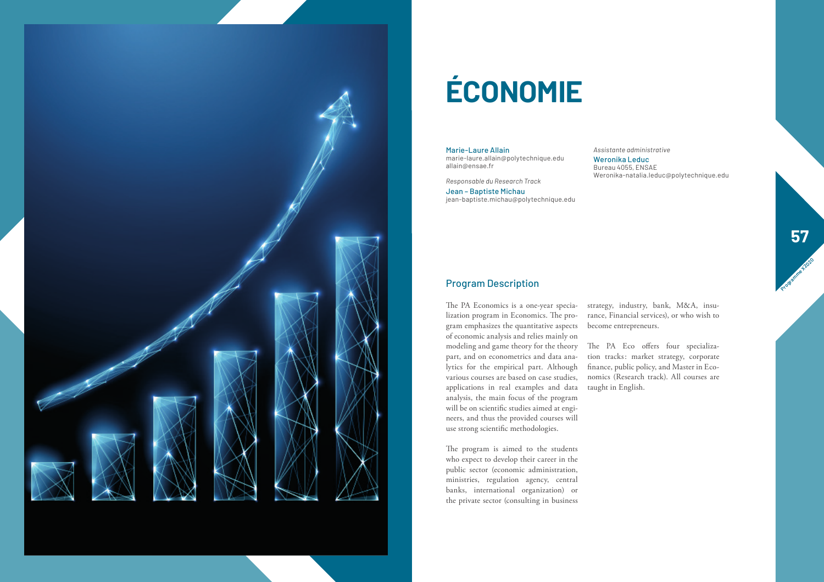

# **ÉCONOMIE**

Marie-Laure Allain marie-laure.allain@polytechnique.edu allain@ensae.fr

*Responsable du Research Track*

Jean – Baptiste Michau jean-baptiste.michau@polytechnique.edu *Assistante administrative* Weronika Leduc

Bureau 4055, ENSAE Weronika-natalia.leduc@polytechnique.edu

### Program Description

The PA Economics is a one-year specia - strategy, industry, bank, M&A, insu lization program in Economics. The pro gram emphasizes the quantitative aspects of economic analysis and relies mainly on modeling and game theory for the theory The PA Eco offers four specializa part, and on econometrics and data ana lytics for the empirical part. Although various courses are based on case studies, applications in real examples and data analysis, the main focus of the program will be on scientific studies aimed at engi neers, and thus the provided courses will use strong scientific methodologies.

The program is aimed to the students who expect to develop their career in the public sector (economic administration, ministries, regulation agency, central banks, international organization) or the private sector (consulting in business

rance, Financial services), or who wish to become entrepreneurs.

tion tracks: market strategy, corporate finance, public policy, and Master in Eco nomics (Research track). All courses are taught in English.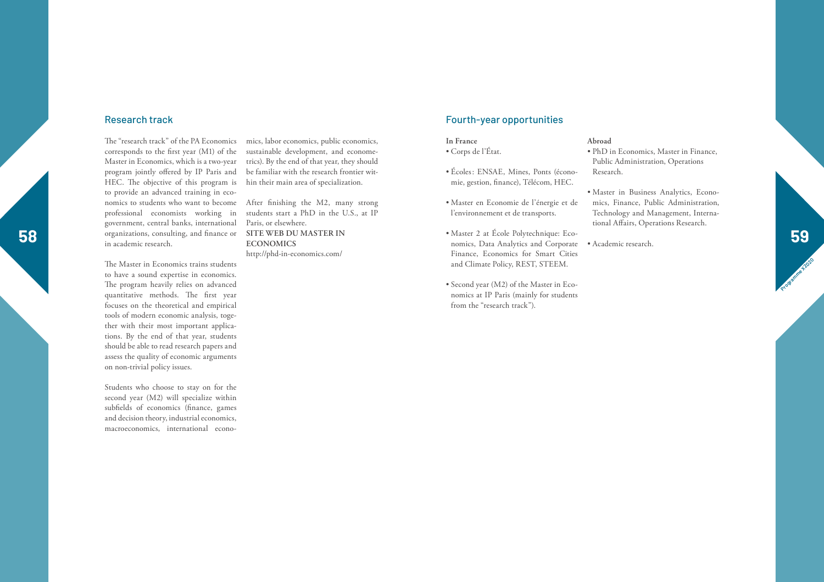#### Research track

corresponds to the first year (M1) of the Master in Economics, which is a two-year program jointly offered by IP Paris and HEC. The objective of this program is to provide an advanced training in eco nomics to students who want to become After finishing the M2, many strong professional economists working in government, central banks, international organizations, consulting, and finance or in academic research.

The Master in Economics trains students to have a sound expertise in economics. The program heavily relies on advanced quantitative methods. The first year focuses on the theoretical and empirical tools of modern economic analysis, toge ther with their most important applica tions. By the end of that year, students should be able to read research papers and assess the quality of economic arguments on non-trivial policy issues.

Students who choose to stay on for the second year (M2) will specialize within subfields of economics (finance, games and decision theory, industrial economics, macroeconomics, international econo -

The "research track" of the PA Economics mics, labor economics, public economics, sustainable development, and econome trics). By the end of that year, they should be familiar with the research frontier within their main area of specialization.

> students start a PhD in the U.S., at IP Paris, or elsewhere. **SITE WEB DU MASTER IN ECONOMICS**  http://phd-in-economics.com/

#### Fourth-year opportunities

### **In France**

- Corps de l'État.
- Écoles: ENSAE, Mines, Ponts (écono mie, gestion, finance), Télécom, HEC.
- Master en Economie de l'énergie et de l'environnement et de transports.
- **58 59** • Master 2 at École Polytechnique: Eco nomics, Data Analytics and Corporate Finance, Economics for Smart Cities and Climate Policy, REST, STEEM.
	- Second year (M2) of the Master in Eco nomics at IP Paris (mainly for students from the "research track").

#### **Abroad**

- PhD in Economics, Master in Finance, Public Administration, Operations Research.
- Master in Business Analytics, Econo mics, Finance, Public Administration, Technology and Management, Interna tional Affairs, Operations Research.
- Academic research.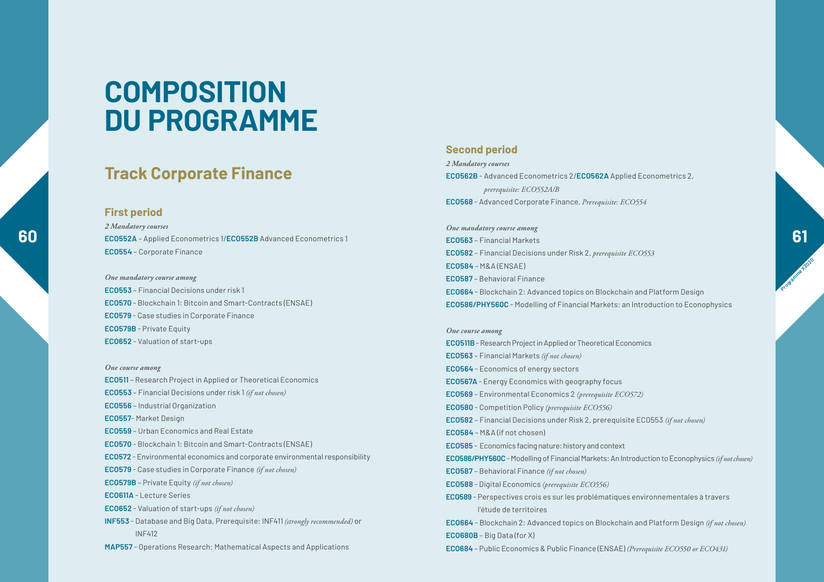### **Track Corporate Finance**

#### **First period**

*2 Mandatory courses* **ECO554** – Corporate Finance

*One mandatory course among* **ECO553** – Financial Decisions under risk 1 **ECO570** - Blockchain 1: Bitcoin and Smart-Contracts (ENSAE) **ECO579** - Case studies in Corporate Finance **ECO579B** - Private Equity **ECO652** - Valuation of start-ups

*One course among*  **ECO511** – Research Project in Applied or Theoretical Economics **ECO553** – Financial Decisions under risk 1 *(if not chosen)* **ECO556** – Industrial Organization **ECO557**- Market Design **ECO559** – Urban Economics and Real Estate **ECO570** - Blockchain 1: Bitcoin and Smart-Contracts (ENSAE) **ECO572** - Environmental economics and corporate environmental responsibility **ECO579** - Case studies in Corporate Finance *(if not chosen)* **ECO579B** – Private Equity *(if not chosen)* **ECO611A** - Lecture Series **ECO652** - Valuation of start-ups *(if not chosen)* **INF553** - Database and Big Data, Prerequisite: INF411 *(strongly recommended)* or INF412 **MAP557** - Operations Research: Mathematical Aspects and Applications

#### **Second period**

*2 Mandatory courses* **ECO562B** - Advanced Econometrics 2/**ECO562A** Applied Econometrics 2, *prerequisite: ECO552A/B* **ECO568** - Advanced Corporate Finance, *Prerequisite: ECO554*

**60 ECO552A** – Applied Econometrics 1/ECO552B Advanced Econometrics 1 **ECO563** – Financial Markets **COS63** – Financial Markets *One mandatory course among* **ECO563** – Financial Markets **ECO582** – Financial Decisions under Risk 2, *prerequisite ECO553* **ECO584** – M&A (ENSAE) **ECO587** – Behavioral Finance **ECO664** - Blockchain 2: Advanced topics on Blockchain and Platform Design **ECO586/PHY560C** - Modelling of Financial Markets: an Introduction to Econophysics

> *One course among* **ECO511B** - Research Project in Applied or Theoretical Economics **ECO563** – Financial Markets *(if not chosen)* **ECO564** - Economics of energy sectors **ECO567A** - Energy Economics with geography focus **ECO569** – Environmental Economics 2 *(prerequisite ECO572)* **ECO580** - Competition Policy *(prerequisite ECO556)* **ECO582** – Financial Decisions under Risk 2, prerequisite ECO553 *(if not chosen)* **ECO584** – M&A (if not chosen) **ECO585** - Economics facing nature: history and context **ECO586/PHY560C** - Modelling of Financial Markets: An Introduction to Econophysics *(if notchosen)* **ECO587** – Behavioral Finance *(if not chosen)* **ECO588** - Digital Economics *(prerequisite ECO556)* **ECO589** - Perspectives crois es sur les problématiques environnementales à travers l'étude de territoires **ECO664** - Blockchain 2: Advanced topics on Blockchain and Platform Design *(if not chosen)* **ECO680B** – Big Data (for X) **ECO684** – Public Economics & Public Finance (ENSAE) *(Prerequisite ECO550 or ECO431)*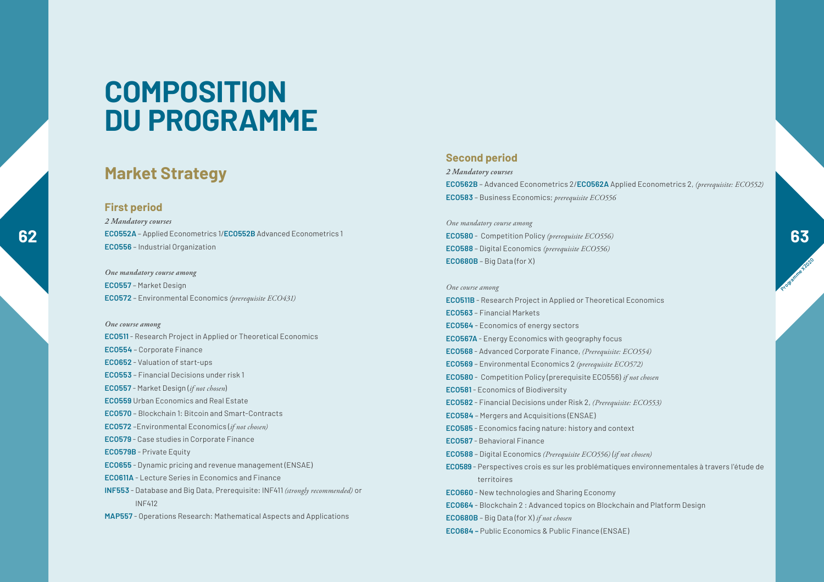### **Market Strategy**

#### **First period**

*2 Mandatory courses*

**ECO556** – Industrial Organization *One mandatory course among*

**ECO557** – Market Design **ECO572** – Environmental Economics *(prerequisite ECO431)*

#### *One course among*

**ECO511** - Research Project in Applied or Theoretical Economics **ECO554** – Corporate Finance **ECO652** - Valuation of start-ups **ECO553** – Financial Decisions under risk 1 **ECO557** - Market Design (*if not chosen*) **ECO559** Urban Economics and Real Estate **ECO570** – Blockchain 1: Bitcoin and Smart-Contracts **ECO572** –Environmental Economics (*if not chosen)* **ECO579** - Case studies in Corporate Finance **ECO579B** - Private Equity **ECO655** - Dynamic pricing and revenue management (ENSAE) **ECO611A** - Lecture Series in Economics and Finance **INF553** - Database and Big Data, Prerequisite: INF411 *(strongly recommended)* or INF412 **MAP557** - Operations Research: Mathematical Aspects and Applications

#### **Second period**

*2 Mandatory courses* **ECO562B** – Advanced Econometrics 2/**ECO562A** Applied Econometrics 2, *(prerequisite: ECO552)* **ECO583** – Business Economics; *prerequisite ECO556*

**62 ECO552A** – Applied Econometrics 1/**ECO552B** Advanced Econometrics 1<br> **ECO580** - Competition Policy (prerequisite ECO556) *One mandatory course among* **ECO580** - Competition Policy *(prerequisite ECO556)* **ECO588** – Digital Economics *(prerequisite ECO556)* **ECO680B** – Big Data (for X)

> *One course among* **ECO511B** - Research Project in Applied or Theoretical Economics **ECO563** – Financial Markets **ECO564** - Economics of energy sectors **ECO567A** - Energy Economics with geography focus **ECO568** - Advanced Corporate Finance, *(Prerequisite: ECO554)* **ECO569** – Environmental Economics 2 *(prerequisite ECO572)* **ECO580** - Competition Policy (prerequisite ECO556) *if not chosen* **ECO581** - Economics of Biodiversity **ECO582** - Financial Decisions under Risk 2, *(Prerequisite: ECO553)* **ECO584** – Mergers and Acquisitions (ENSAE) **ECO585** - Economics facing nature: history and context **ECO587** - Behavioral Finance **ECO588** – Digital Economics *(Prerequisite ECO556) (if not chosen)* **ECO589** - Perspectives crois es sur les problématiques environnementales à travers l'étude de territoires **ECO660** - New technologies and Sharing Economy **ECO664** - Blockchain 2 : Advanced topics on Blockchain and Platform Design **ECO680B** – Big Data (for X) *if not chosen* **ECO684 –** Public Economics & Public Finance (ENSAE)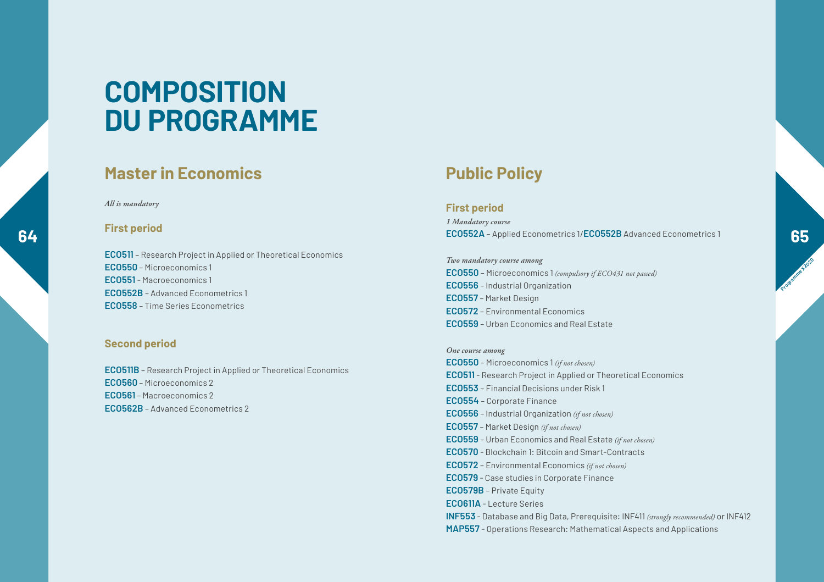### **Master in Economics Public Policy**

#### *All is mandatory*

#### **First period**

**ECO511** – Research Project in Applied or Theoretical Economics **ECO550** – Microeconomics 1 **ECO551** - Macroeconomics 1 **ECO552B** – Advanced Econometrics 1 **ECO558** – Time Series Econometrics

#### **Second period**

**ECO511B** – Research Project in Applied or Theoretical Economics **ECO560** – Microeconomics 2 **ECO561** – Macroeconomics 2 **ECO562B** – Advanced Econometrics 2

#### **First period**

**64 ECO552A** – Applied Econometrics 1/**ECO552B** Advanced Econometrics 1<br>**65** *1 Mandatory course*

> *Two mandatory course among* **ECO550** – Microeconomics 1 *(compulsory if ECO431 not passed)* **ECO556** – Industrial Organization **ECO557** – Market Design **ECO572** – Environmental Economics **ECO559** – Urban Economics and Real Estate

#### *One course among*

**ECO550** – Microeconomics 1 *(if not chosen)* **ECO511** - Research Project in Applied or Theoretical Economics **ECO553** – Financial Decisions under Risk 1 **ECO554** – Corporate Finance **ECO556** – Industrial Organization *(if not chosen)* **ECO557** – Market Design *(if not chosen)* **ECO559** – Urban Economics and Real Estate *(if not chosen)* **ECO570** - Blockchain 1: Bitcoin and Smart-Contracts **ECO572** – Environmental Economics *(if not chosen)* **ECO579** - Case studies in Corporate Finance **ECO579B** – Private Equity **ECO611A** - Lecture Series **INF553** - Database and Big Data, Prerequisite: INF411 *(strongly recommended)* or INF412 **MAP557** - Operations Research: Mathematical Aspects and Applications